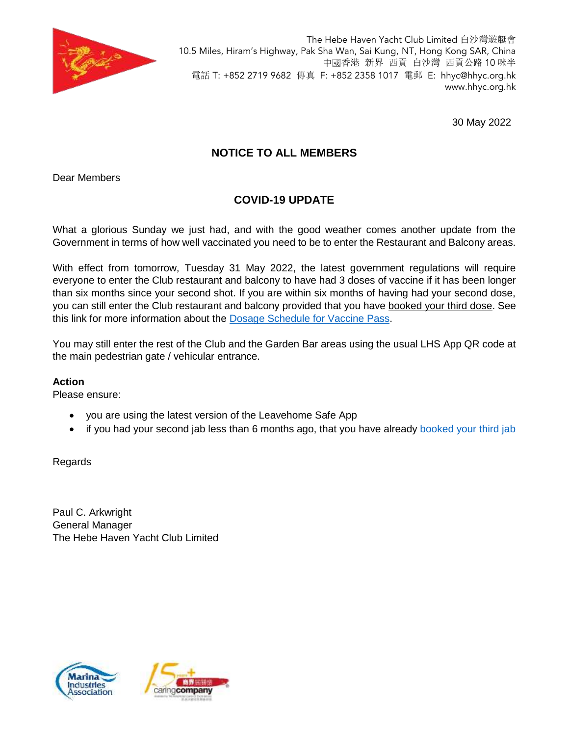

The Hebe Haven Yacht Club Limited 白沙灣遊艇會 10.5 Miles, Hiram's Highway, Pak Sha Wan, Sai Kung, NT, Hong Kong SAR, China 中國香港 新界 西貢 白沙灣 西貢公路 10 咪半 電話 T: +852 2719 9682 傳真 F: +852 2358 1017 電郵 E: [hhyc@hhyc.org.hk](mailto:hhyc@hhyc.org.hk) [www.hhyc.org.hk](http://www.hhyc.org.hk/)

30 May 2022

## **NOTICE TO ALL MEMBERS**

Dear Members

## **COVID-19 UPDATE**

What a glorious Sunday we just had, and with the good weather comes another update from the Government in terms of how well vaccinated you need to be to enter the Restaurant and Balcony areas.

With effect from tomorrow, Tuesday 31 May 2022, the latest government regulations will require everyone to enter the Club restaurant and balcony to have had 3 doses of vaccine if it has been longer than six months since your second shot. If you are within six months of having had your second dose, you can still enter the Club restaurant and balcony provided that you have booked your third dose. See this link for more information about the [Dosage Schedule for Vaccine Pass.](https://www.coronavirus.gov.hk/pdf/vp_t1_ENG.pdf)

You may still enter the rest of the Club and the Garden Bar areas using the usual LHS App QR code at the main pedestrian gate / vehicular entrance.

#### **Action**

Please ensure:

- you are using the latest version of the Leavehome Safe App
- if you had your second jab less than 6 months ago, that you have already [booked your third jab](https://booking.covidvaccine.gov.hk/forms/index.jsp)

Regards

Paul C. Arkwright General Manager The Hebe Haven Yacht Club Limited